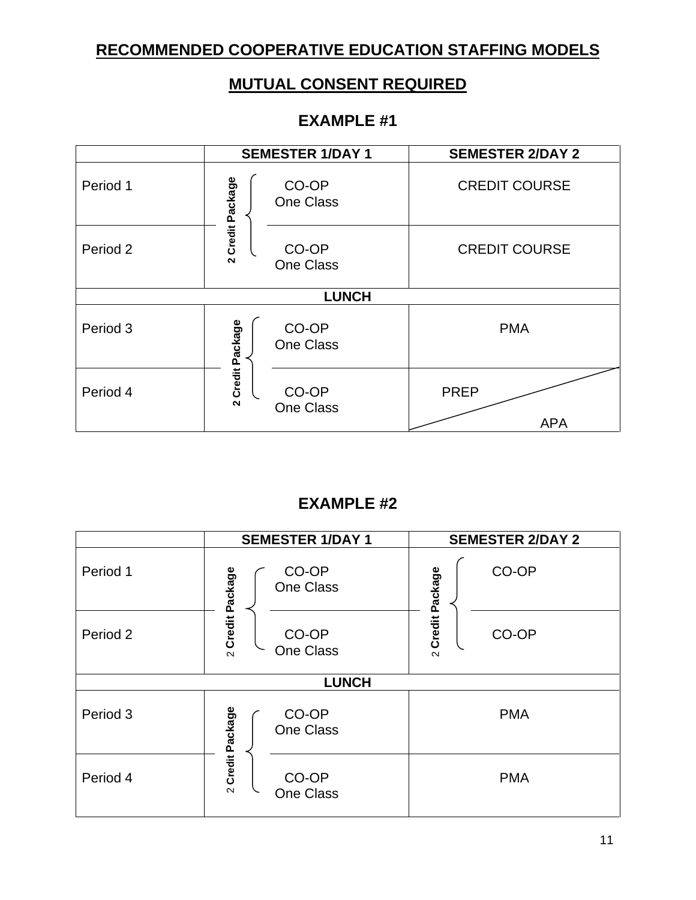### **RECOMMENDED COOPERATIVE EDUCATION STAFFING MODELS**

## **MUTUAL CONSENT REQUIRED**

#### **EXAMPLE #1**

|          | <b>SEMESTER 1/DAY 1</b>                        | <b>SEMESTER 2/DAY 2</b>   |
|----------|------------------------------------------------|---------------------------|
| Period 1 | Credit Package<br>CO-OP<br><b>One Class</b>    | <b>CREDIT COURSE</b>      |
| Period 2 | CO-OP<br>$\mathbf{\Omega}$<br><b>One Class</b> | <b>CREDIT COURSE</b>      |
|          | <b>LUNCH</b>                                   |                           |
| Period 3 | Credit Package<br>CO-OP<br><b>One Class</b>    | <b>PMA</b>                |
| Period 4 | CO-OP<br>$\sim$<br><b>One Class</b>            | <b>PREP</b><br><b>APA</b> |

#### **EXAMPLE #2**

|          | <b>SEMESTER 1/DAY 1</b>                        | <b>SEMESTER 2/DAY 2</b> |  |  |
|----------|------------------------------------------------|-------------------------|--|--|
| Period 1 | CO-OP<br><b>One Class</b>                      | CO-OP<br>Credit Package |  |  |
| Period 2 | 2 Credit Package<br>CO-OP<br><b>One Class</b>  | CO-OP<br>$\sim$         |  |  |
|          | <b>LUNCH</b>                                   |                         |  |  |
| Period 3 | Credit Package<br>CO-OP<br><b>One Class</b>    | <b>PMA</b>              |  |  |
| Period 4 | CO-OP<br>$\mathbf{\Omega}$<br><b>One Class</b> | <b>PMA</b>              |  |  |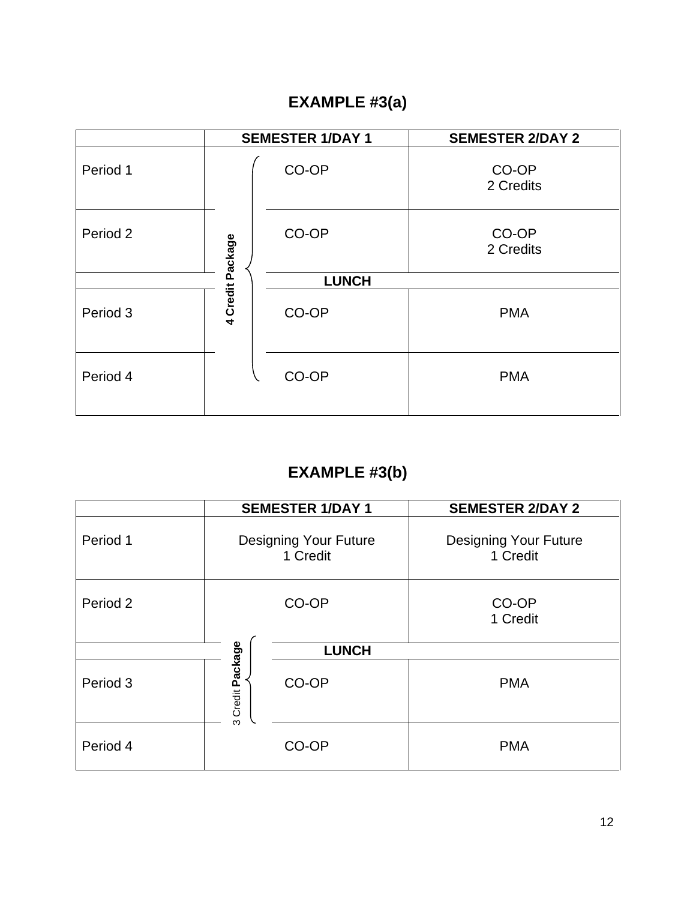# **EXAMPLE #3(a)**

|          | <b>SEMESTER 1/DAY 1</b> |              | <b>SEMESTER 2/DAY 2</b> |
|----------|-------------------------|--------------|-------------------------|
| Period 1 |                         | CO-OP        | CO-OP<br>2 Credits      |
| Period 2 | Credit Package          | CO-OP        | CO-OP<br>2 Credits      |
|          |                         | <b>LUNCH</b> |                         |
| Period 3 | $\ddot{\phantom{0}}$    | CO-OP        | <b>PMA</b>              |
| Period 4 |                         | CO-OP        | <b>PMA</b>              |

# **EXAMPLE #3(b)**

|          |                     | <b>SEMESTER 1/DAY 1</b>                  | <b>SEMESTER 2/DAY 2</b>                  |
|----------|---------------------|------------------------------------------|------------------------------------------|
| Period 1 |                     | <b>Designing Your Future</b><br>1 Credit | <b>Designing Your Future</b><br>1 Credit |
| Period 2 |                     | CO-OP                                    | CO-OP<br>1 Credit                        |
|          |                     | <b>LUNCH</b>                             |                                          |
| Period 3 | Credit Package<br>ო | CO-OP                                    | <b>PMA</b>                               |
| Period 4 |                     | CO-OP                                    | <b>PMA</b>                               |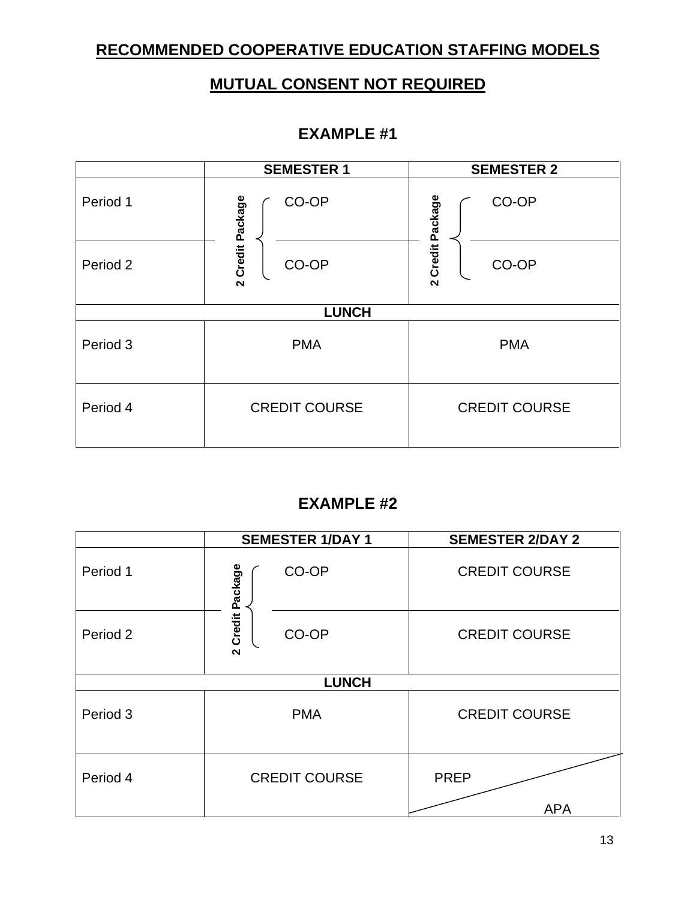#### **RECOMMENDED COOPERATIVE EDUCATION STAFFING MODELS**

#### **MUTUAL CONSENT NOT REQUIRED**

#### **EXAMPLE #1**

|              | <b>SEMESTER 1</b>         | <b>SEMESTER 2</b>          |  |  |
|--------------|---------------------------|----------------------------|--|--|
| Period 1     | CO-OP                     | CO-OP<br>Credit Package    |  |  |
| Period 2     | 2 Credit Package<br>CO-OP | CO-OP<br>$\mathbf{\Omega}$ |  |  |
| <b>LUNCH</b> |                           |                            |  |  |
| Period 3     | <b>PMA</b>                | <b>PMA</b>                 |  |  |
| Period 4     | <b>CREDIT COURSE</b>      | <b>CREDIT COURSE</b>       |  |  |

#### **EXAMPLE #2**

|              | <b>SEMESTER 1/DAY 1</b>    | <b>SEMESTER 2/DAY 2</b>   |  |  |
|--------------|----------------------------|---------------------------|--|--|
| Period 1     | Credit Package<br>CO-OP    | <b>CREDIT COURSE</b>      |  |  |
| Period 2     | CO-OP<br>$\mathbf{\Omega}$ | <b>CREDIT COURSE</b>      |  |  |
| <b>LUNCH</b> |                            |                           |  |  |
| Period 3     | <b>PMA</b>                 | <b>CREDIT COURSE</b>      |  |  |
| Period 4     | <b>CREDIT COURSE</b>       | <b>PREP</b><br><b>APA</b> |  |  |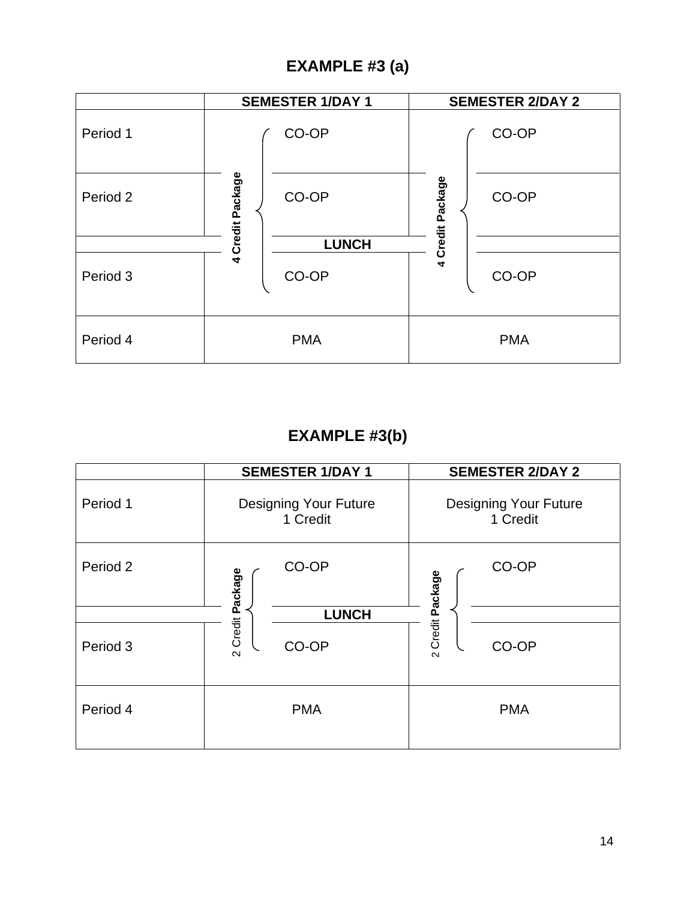## **EXAMPLE #3 (a)**

|          | <b>SEMESTER 1/DAY 1</b> |              |                  | <b>SEMESTER 2/DAY 2</b> |
|----------|-------------------------|--------------|------------------|-------------------------|
| Period 1 |                         | CO-OP        |                  | CO-OP                   |
| Period 2 | 4 Credit Package        | CO-OP        | 4 Credit Package | CO-OP                   |
|          |                         | <b>LUNCH</b> |                  |                         |
| Period 3 |                         | CO-OP        |                  | CO-OP                   |
| Period 4 |                         | <b>PMA</b>   |                  | <b>PMA</b>              |

## **EXAMPLE #3(b)**

|          | <b>SEMESTER 1/DAY 1</b>                  | <b>SEMESTER 2/DAY 2</b>                  |
|----------|------------------------------------------|------------------------------------------|
| Period 1 | <b>Designing Your Future</b><br>1 Credit | <b>Designing Your Future</b><br>1 Credit |
| Period 2 | CO-OP                                    | CO-OP<br>Credit Package                  |
|          | <b>LUNCH</b>                             |                                          |
| Period 3 | 2 Credit Package<br>CO-OP                | CO-OP<br>$\sim$                          |
| Period 4 | <b>PMA</b>                               | <b>PMA</b>                               |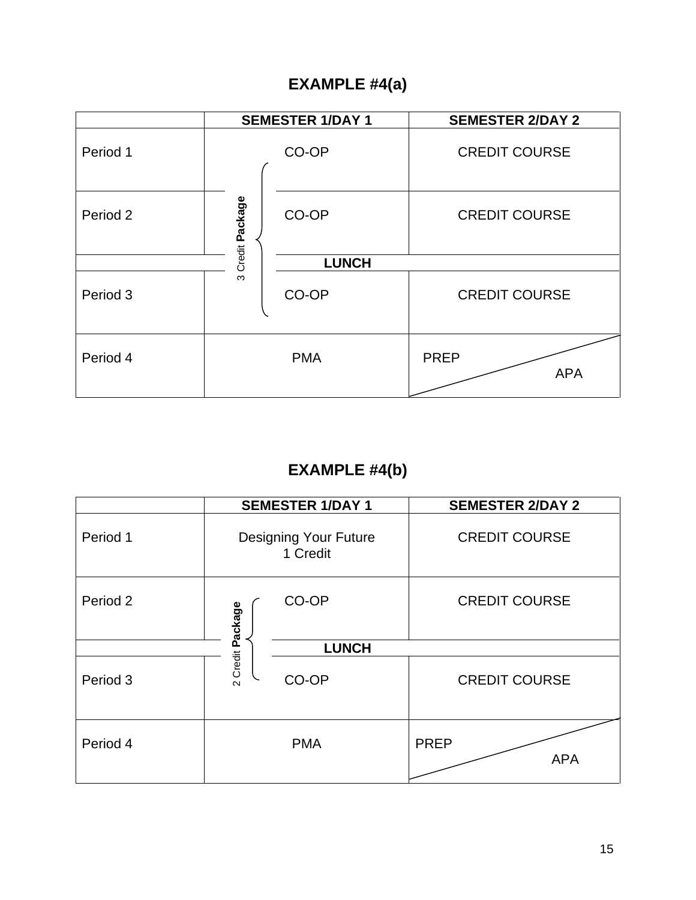### **EXAMPLE #4(a)**

|          | <b>SEMESTER 1/DAY 1</b> |              | <b>SEMESTER 2/DAY 2</b>   |
|----------|-------------------------|--------------|---------------------------|
| Period 1 |                         | CO-OP        | <b>CREDIT COURSE</b>      |
| Period 2 | Credit Package          | CO-OP        | <b>CREDIT COURSE</b>      |
|          |                         | <b>LUNCH</b> |                           |
| Period 3 | ო                       | CO-OP        | <b>CREDIT COURSE</b>      |
| Period 4 |                         | <b>PMA</b>   | <b>PREP</b><br><b>APA</b> |

## **EXAMPLE #4(b)**

|          | <b>SEMESTER 1/DAY 1</b>                  | <b>SEMESTER 2/DAY 2</b>   |
|----------|------------------------------------------|---------------------------|
| Period 1 | <b>Designing Your Future</b><br>1 Credit | <b>CREDIT COURSE</b>      |
| Period 2 | CO-OP<br>2 Credit Package                | <b>CREDIT COURSE</b>      |
|          | <b>LUNCH</b>                             |                           |
| Period 3 | CO-OP                                    | <b>CREDIT COURSE</b>      |
| Period 4 | <b>PMA</b>                               | <b>PREP</b><br><b>APA</b> |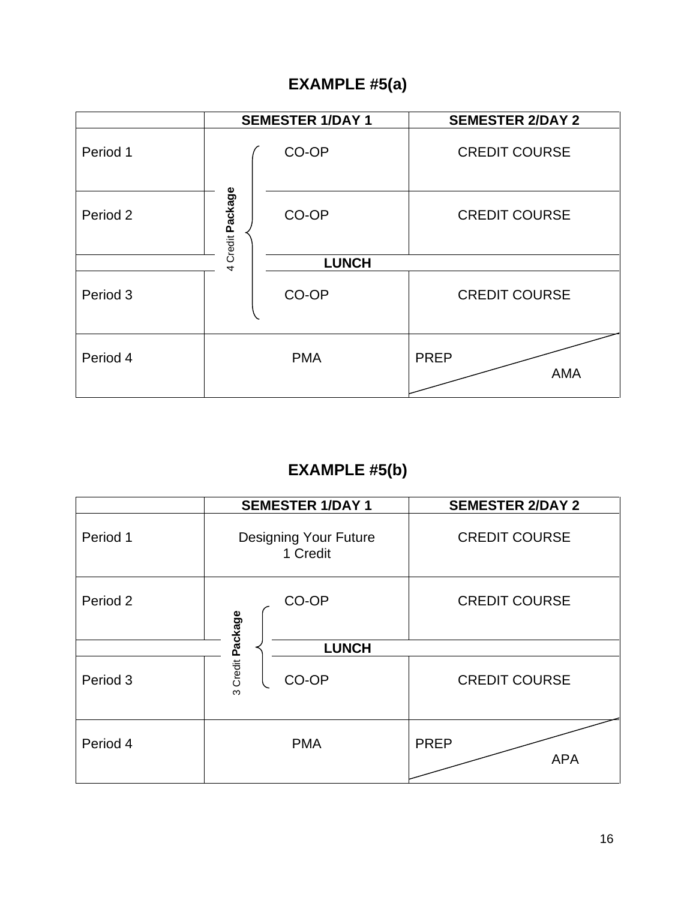### **EXAMPLE #5(a)**

|          |                  | <b>SEMESTER 1/DAY 1</b> | <b>SEMESTER 2/DAY 2</b>   |
|----------|------------------|-------------------------|---------------------------|
| Period 1 |                  | CO-OP                   | <b>CREDIT COURSE</b>      |
| Period 2 | 4 Credit Package | CO-OP                   | <b>CREDIT COURSE</b>      |
|          |                  | <b>LUNCH</b>            |                           |
| Period 3 |                  | CO-OP                   | <b>CREDIT COURSE</b>      |
| Period 4 |                  | <b>PMA</b>              | <b>PREP</b><br><b>AMA</b> |

## **EXAMPLE #5(b)**

|          | <b>SEMESTER 1/DAY 1</b>                  | <b>SEMESTER 2/DAY 2</b>   |
|----------|------------------------------------------|---------------------------|
| Period 1 | <b>Designing Your Future</b><br>1 Credit | <b>CREDIT COURSE</b>      |
| Period 2 | CO-OP                                    | <b>CREDIT COURSE</b>      |
|          | <b>LUNCH</b>                             |                           |
| Period 3 | 3 Credit Package<br>CO-OP                | <b>CREDIT COURSE</b>      |
| Period 4 | <b>PMA</b>                               | <b>PREP</b><br><b>APA</b> |